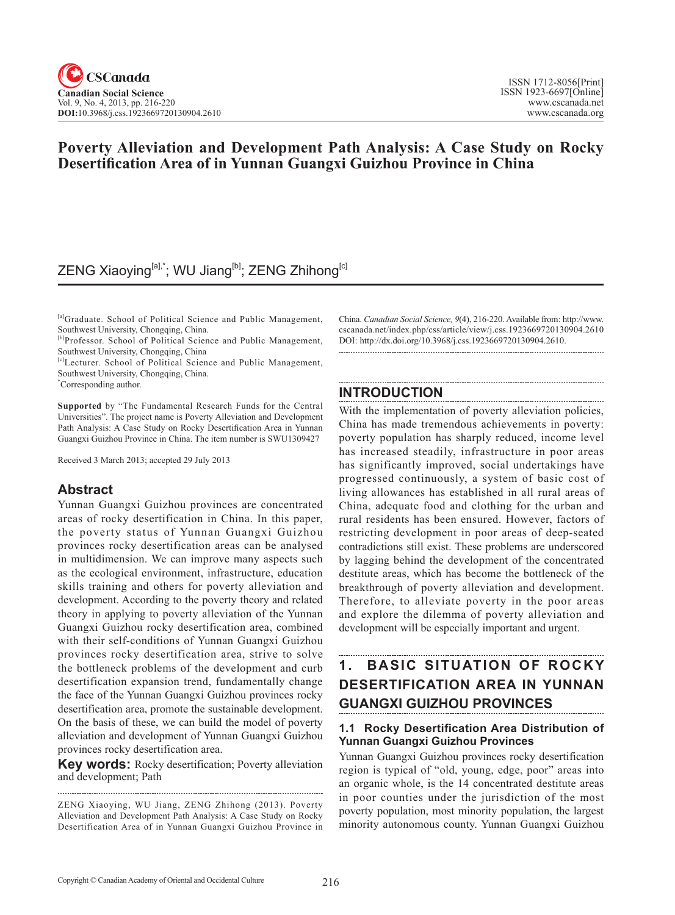### **Poverty Alleviation and Development Path Analysis: A Case Study on Rocky Desertification Area of in Yunnan Guangxi Guizhou Province in China**

### ZENG Xiaoying<sup>[a],\*</sup>; WU Jiang<sup>[b]</sup>; ZENG Zhihong<sup>[c]</sup>

[a]Graduate. School of Political Science and Public Management, Southwest University, Chongqing, China.

[b]Professor. School of Political Science and Public Management, Southwest University, Chongqing, China

[c]Lecturer. School of Political Science and Public Management, Southwest University, Chongqing, China.

\* Corresponding author.

**Supported** by "The Fundamental Research Funds for the Central Universities". The project name is Poverty Alleviation and Development Path Analysis: A Case Study on Rocky Desertification Area in Yunnan Guangxi Guizhou Province in China. The item number is SWU1309427

Received 3 March 2013; accepted 29 July 2013

### **Abstract**

Yunnan Guangxi Guizhou provinces are concentrated areas of rocky desertification in China. In this paper, the poverty status of Yunnan Guangxi Guizhou provinces rocky desertification areas can be analysed in multidimension. We can improve many aspects such as the ecological environment, infrastructure, education skills training and others for poverty alleviation and development. According to the poverty theory and related theory in applying to poverty alleviation of the Yunnan Guangxi Guizhou rocky desertification area, combined with their self-conditions of Yunnan Guangxi Guizhou provinces rocky desertification area, strive to solve the bottleneck problems of the development and curb desertification expansion trend, fundamentally change the face of the Yunnan Guangxi Guizhou provinces rocky desertification area, promote the sustainable development. On the basis of these, we can build the model of poverty alleviation and development of Yunnan Guangxi Guizhou provinces rocky desertification area.

**Key words:** Rocky desertification; Poverty alleviation and development; Path

China. *Canadian Social Science, 9*(4), 216-220. Available from: http://www. cscanada.net/index.php/css/article/view/j.css.1923669720130904.2610 DOI: http://dx.doi.org/10.3968/j.css.1923669720130904.2610. 

#### **INTRODUCTION**

With the implementation of poverty alleviation policies, China has made tremendous achievements in poverty: poverty population has sharply reduced, income level has increased steadily, infrastructure in poor areas has significantly improved, social undertakings have progressed continuously, a system of basic cost of living allowances has established in all rural areas of China, adequate food and clothing for the urban and rural residents has been ensured. However, factors of restricting development in poor areas of deep-seated contradictions still exist. These problems are underscored by lagging behind the development of the concentrated destitute areas, which has become the bottleneck of the breakthrough of poverty alleviation and development. Therefore, to alleviate poverty in the poor areas and explore the dilemma of poverty alleviation and development will be especially important and urgent.

## **1. BASIC SITUATION OF ROCKY DESERTIFICATION AREA IN YUNNAN GUANGXI GUIZHOU PROVINCES**

### **1.1 Rocky Desertification Area Distribution of Yunnan Guangxi Guizhou Provinces**

Yunnan Guangxi Guizhou provinces rocky desertification region is typical of "old, young, edge, poor" areas into an organic whole, is the 14 concentrated destitute areas in poor counties under the jurisdiction of the most poverty population, most minority population, the largest minority autonomous county. Yunnan Guangxi Guizhou

ZENG Xiaoying, WU Jiang, ZENG Zhihong (2013). Poverty Alleviation and Development Path Analysis: A Case Study on Rocky Desertification Area of in Yunnan Guangxi Guizhou Province in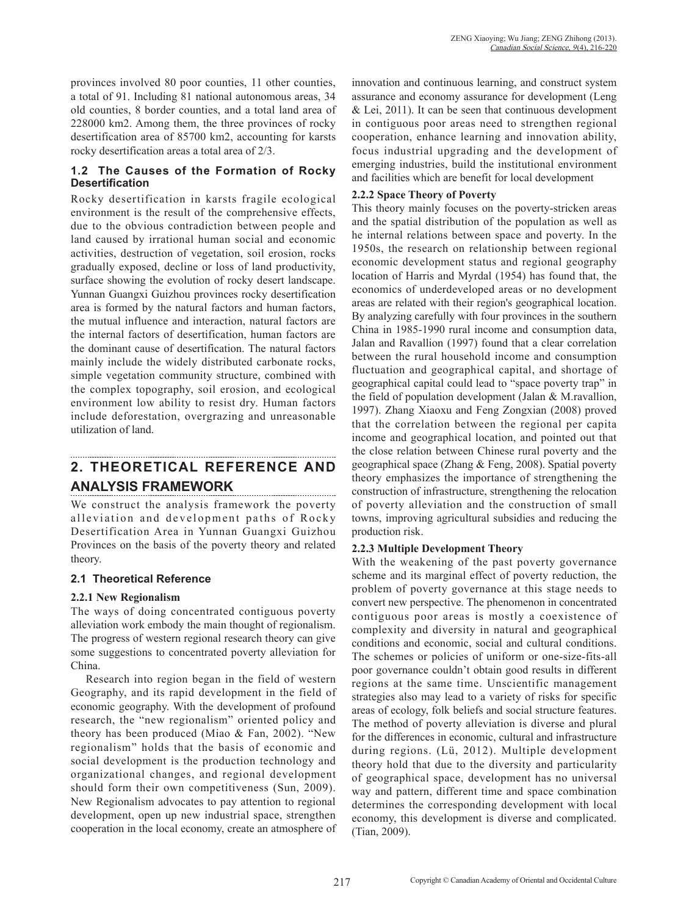provinces involved 80 poor counties, 11 other counties, a total of 91. Including 81 national autonomous areas, 34 old counties, 8 border counties, and a total land area of 228000 km2. Among them, the three provinces of rocky desertification area of 85700 km2, accounting for karsts rocky desertification areas a total area of 2/3.

### **1.2 The Causes of the Formation of Rocky Desertification**

Rocky desertification in karsts fragile ecological environment is the result of the comprehensive effects, due to the obvious contradiction between people and land caused by irrational human social and economic activities, destruction of vegetation, soil erosion, rocks gradually exposed, decline or loss of land productivity, surface showing the evolution of rocky desert landscape. Yunnan Guangxi Guizhou provinces rocky desertification area is formed by the natural factors and human factors, the mutual influence and interaction, natural factors are the internal factors of desertification, human factors are the dominant cause of desertification. The natural factors mainly include the widely distributed carbonate rocks, simple vegetation community structure, combined with the complex topography, soil erosion, and ecological environment low ability to resist dry. Human factors include deforestation, overgrazing and unreasonable utilization of land.

#### **2. THEORETICAL REFERENCE AND ANALYSIS FRAMEWORK**

We construct the analysis framework the poverty alleviation and development paths of Rocky Desertification Area in Yunnan Guangxi Guizhou Provinces on the basis of the poverty theory and related theory.

### **2.1 Theoretical Reference**

### **2.2.1 New Regionalism**

The ways of doing concentrated contiguous poverty alleviation work embody the main thought of regionalism. The progress of western regional research theory can give some suggestions to concentrated poverty alleviation for China.

Research into region began in the field of western Geography, and its rapid development in the field of economic geography. With the development of profound research, the "new regionalism" oriented policy and theory has been produced (Miao & Fan, 2002). "New regionalism" holds that the basis of economic and social development is the production technology and organizational changes, and regional development should form their own competitiveness (Sun, 2009). New Regionalism advocates to pay attention to regional development, open up new industrial space, strengthen cooperation in the local economy, create an atmosphere of innovation and continuous learning, and construct system assurance and economy assurance for development (Leng  $&$  Lei, 2011). It can be seen that continuous development in contiguous poor areas need to strengthen regional cooperation, enhance learning and innovation ability, focus industrial upgrading and the development of emerging industries, build the institutional environment and facilities which are benefit for local development

### **2.2.2 Space Theory of Poverty**

This theory mainly focuses on the poverty-stricken areas and the spatial distribution of the population as well as he internal relations between space and poverty. In the 1950s, the research on relationship between regional economic development status and regional geography location of Harris and Myrdal (1954) has found that, the economics of underdeveloped areas or no development areas are related with their region's geographical location. By analyzing carefully with four provinces in the southern China in 1985-1990 rural income and consumption data, Jalan and Ravallion (1997) found that a clear correlation between the rural household income and consumption fluctuation and geographical capital, and shortage of geographical capital could lead to "space poverty trap" in the field of population development (Jalan & M.ravallion, 1997). Zhang Xiaoxu and Feng Zongxian (2008) proved that the correlation between the regional per capita income and geographical location, and pointed out that the close relation between Chinese rural poverty and the geographical space (Zhang & Feng, 2008). Spatial poverty theory emphasizes the importance of strengthening the construction of infrastructure, strengthening the relocation of poverty alleviation and the construction of small towns, improving agricultural subsidies and reducing the production risk.

### **2.2.3 Multiple Development Theory**

With the weakening of the past poverty governance scheme and its marginal effect of poverty reduction, the problem of poverty governance at this stage needs to convert new perspective. The phenomenon in concentrated contiguous poor areas is mostly a coexistence of complexity and diversity in natural and geographical conditions and economic, social and cultural conditions. The schemes or policies of uniform or one-size-fits-all poor governance couldn't obtain good results in different regions at the same time. Unscientific management strategies also may lead to a variety of risks for specific areas of ecology, folk beliefs and social structure features. The method of poverty alleviation is diverse and plural for the differences in economic, cultural and infrastructure during regions. (Lü, 2012). Multiple development theory hold that due to the diversity and particularity of geographical space, development has no universal way and pattern, different time and space combination determines the corresponding development with local economy, this development is diverse and complicated. (Tian, 2009).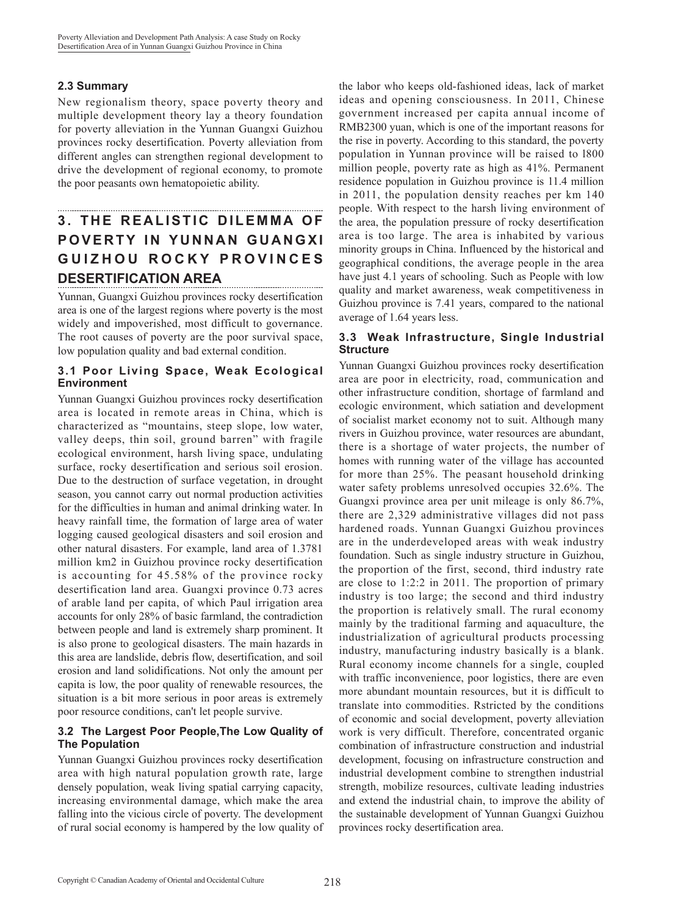### **2.3 Summary**

New regionalism theory, space poverty theory and multiple development theory lay a theory foundation for poverty alleviation in the Yunnan Guangxi Guizhou provinces rocky desertification. Poverty alleviation from different angles can strengthen regional development to drive the development of regional economy, to promote the poor peasants own hematopoietic ability.

### **3 . T H E R E A L I S T I C D I L E M M A O F POVERTY IN YUNNAN GUANGXI** GUIZHOU ROCKY PROVINCES **DESERTIFICATION AREA**

Yunnan, Guangxi Guizhou provinces rocky desertification area is one of the largest regions where poverty is the most widely and impoverished, most difficult to governance. The root causes of poverty are the poor survival space, low population quality and bad external condition.

### **3.1 Poor Living Space, Weak Ecological Environment**

Yunnan Guangxi Guizhou provinces rocky desertification area is located in remote areas in China, which is characterized as "mountains, steep slope, low water, valley deeps, thin soil, ground barren" with fragile ecological environment, harsh living space, undulating surface, rocky desertification and serious soil erosion. Due to the destruction of surface vegetation, in drought season, you cannot carry out normal production activities for the difficulties in human and animal drinking water. In heavy rainfall time, the formation of large area of water logging caused geological disasters and soil erosion and other natural disasters. For example, land area of 1.3781 million km2 in Guizhou province rocky desertification is accounting for 45.58% of the province rocky desertification land area. Guangxi province 0.73 acres of arable land per capita, of which Paul irrigation area accounts for only 28% of basic farmland, the contradiction between people and land is extremely sharp prominent. It is also prone to geological disasters. The main hazards in this area are landslide, debris flow, desertification, and soil erosion and land solidifications. Not only the amount per capita is low, the poor quality of renewable resources, the situation is a bit more serious in poor areas is extremely poor resource conditions, can't let people survive.

### **3.2 The Largest Poor People,The Low Quality of The Population**

Yunnan Guangxi Guizhou provinces rocky desertification area with high natural population growth rate, large densely population, weak living spatial carrying capacity, increasing environmental damage, which make the area falling into the vicious circle of poverty. The development of rural social economy is hampered by the low quality of

the labor who keeps old-fashioned ideas, lack of market ideas and opening consciousness. In 2011, Chinese government increased per capita annual income of RMB2300 yuan, which is one of the important reasons for the rise in poverty. According to this standard, the poverty population in Yunnan province will be raised to l800 million people, poverty rate as high as 41%. Permanent residence population in Guizhou province is 11.4 million in 2011, the population density reaches per km 140 people. With respect to the harsh living environment of the area, the population pressure of rocky desertification area is too large. The area is inhabited by various minority groups in China. Influenced by the historical and geographical conditions, the average people in the area have just 4.1 years of schooling. Such as People with low quality and market awareness, weak competitiveness in Guizhou province is 7.41 years, compared to the national average of 1.64 years less.

### **3.3 Weak Infrastructure, Single Industrial Structure**

Yunnan Guangxi Guizhou provinces rocky desertification area are poor in electricity, road, communication and other infrastructure condition, shortage of farmland and ecologic environment, which satiation and development of socialist market economy not to suit. Although many rivers in Guizhou province, water resources are abundant, there is a shortage of water projects, the number of homes with running water of the village has accounted for more than 25%. The peasant household drinking water safety problems unresolved occupies 32.6%. The Guangxi province area per unit mileage is only 86.7%, there are 2,329 administrative villages did not pass hardened roads. Yunnan Guangxi Guizhou provinces are in the underdeveloped areas with weak industry foundation. Such as single industry structure in Guizhou, the proportion of the first, second, third industry rate are close to 1:2:2 in 2011. The proportion of primary industry is too large; the second and third industry the proportion is relatively small. The rural economy mainly by the traditional farming and aquaculture, the industrialization of agricultural products processing industry, manufacturing industry basically is a blank. Rural economy income channels for a single, coupled with traffic inconvenience, poor logistics, there are even more abundant mountain resources, but it is difficult to translate into commodities. Rstricted by the conditions of economic and social development, poverty alleviation work is very difficult. Therefore, concentrated organic combination of infrastructure construction and industrial development, focusing on infrastructure construction and industrial development combine to strengthen industrial strength, mobilize resources, cultivate leading industries and extend the industrial chain, to improve the ability of the sustainable development of Yunnan Guangxi Guizhou provinces rocky desertification area.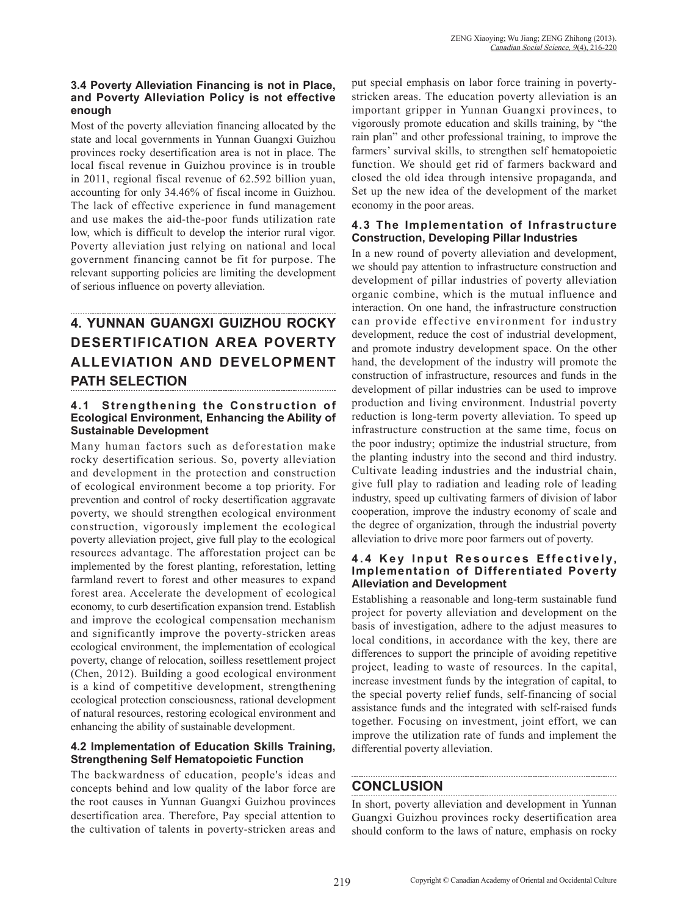### **3.4 Poverty Alleviation Financing is not in Place, and Poverty Alleviation Policy is not effective enough**

Most of the poverty alleviation financing allocated by the state and local governments in Yunnan Guangxi Guizhou provinces rocky desertification area is not in place. The local fiscal revenue in Guizhou province is in trouble in 2011, regional fiscal revenue of 62.592 billion yuan, accounting for only 34.46% of fiscal income in Guizhou. The lack of effective experience in fund management and use makes the aid-the-poor funds utilization rate low, which is difficult to develop the interior rural vigor. Poverty alleviation just relying on national and local government financing cannot be fit for purpose. The relevant supporting policies are limiting the development of serious influence on poverty alleviation.

# **4. YUNNAN GUANGXI GUIZHOU ROCKY DESERTIFICATION AREA POVERTY ALLEVIATION AND DEVELOPMENT PATH SELECTION**

### **4.1 Strengthening the Construction of Ecological Environment, Enhancing the Ability of Sustainable Development**

Many human factors such as deforestation make rocky desertification serious. So, poverty alleviation and development in the protection and construction of ecological environment become a top priority. For prevention and control of rocky desertification aggravate poverty, we should strengthen ecological environment construction, vigorously implement the ecological poverty alleviation project, give full play to the ecological resources advantage. The afforestation project can be implemented by the forest planting, reforestation, letting farmland revert to forest and other measures to expand forest area. Accelerate the development of ecological economy, to curb desertification expansion trend. Establish and improve the ecological compensation mechanism and significantly improve the poverty-stricken areas ecological environment, the implementation of ecological poverty, change of relocation, soilless resettlement project (Chen, 2012). Building a good ecological environment is a kind of competitive development, strengthening ecological protection consciousness, rational development of natural resources, restoring ecological environment and enhancing the ability of sustainable development.

### **4.2 Implementation of Education Skills Training, Strengthening Self Hematopoietic Function**

The backwardness of education, people's ideas and concepts behind and low quality of the labor force are the root causes in Yunnan Guangxi Guizhou provinces desertification area. Therefore, Pay special attention to the cultivation of talents in poverty-stricken areas and

put special emphasis on labor force training in povertystricken areas. The education poverty alleviation is an important gripper in Yunnan Guangxi provinces, to vigorously promote education and skills training, by "the rain plan" and other professional training, to improve the farmers' survival skills, to strengthen self hematopoietic function. We should get rid of farmers backward and closed the old idea through intensive propaganda, and Set up the new idea of the development of the market economy in the poor areas.

### **4.3 The Implementation of Infrastructure Construction, Developing Pillar Industries**

In a new round of poverty alleviation and development, we should pay attention to infrastructure construction and development of pillar industries of poverty alleviation organic combine, which is the mutual influence and interaction. On one hand, the infrastructure construction can provide effective environment for industry development, reduce the cost of industrial development, and promote industry development space. On the other hand, the development of the industry will promote the construction of infrastructure, resources and funds in the development of pillar industries can be used to improve production and living environment. Industrial poverty reduction is long-term poverty alleviation. To speed up infrastructure construction at the same time, focus on the poor industry; optimize the industrial structure, from the planting industry into the second and third industry. Cultivate leading industries and the industrial chain, give full play to radiation and leading role of leading industry, speed up cultivating farmers of division of labor cooperation, improve the industry economy of scale and the degree of organization, through the industrial poverty alleviation to drive more poor farmers out of poverty.

#### **4.4 Key Input Resources Effectively, Implementation of Differentiated Poverty Alleviation and Development**

Establishing a reasonable and long-term sustainable fund project for poverty alleviation and development on the basis of investigation, adhere to the adjust measures to local conditions, in accordance with the key, there are differences to support the principle of avoiding repetitive project, leading to waste of resources. In the capital, increase investment funds by the integration of capital, to the special poverty relief funds, self-financing of social assistance funds and the integrated with self-raised funds together. Focusing on investment, joint effort, we can improve the utilization rate of funds and implement the differential poverty alleviation.

### **CONCLUSION**

In short, poverty alleviation and development in Yunnan Guangxi Guizhou provinces rocky desertification area should conform to the laws of nature, emphasis on rocky